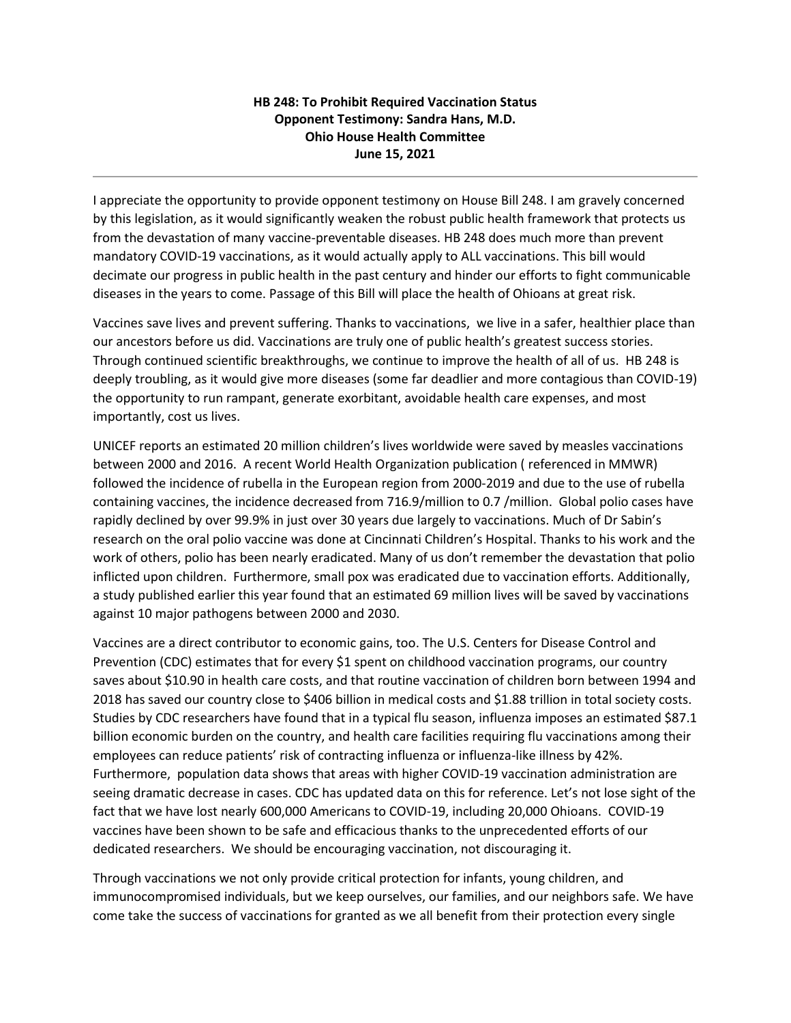## **HB 248: To Prohibit Required Vaccination Status Opponent Testimony: Sandra Hans, M.D. Ohio House Health Committee June 15, 2021**

I appreciate the opportunity to provide opponent testimony on House Bill 248. I am gravely concerned by this legislation, as it would significantly weaken the robust public health framework that protects us from the devastation of many vaccine-preventable diseases. HB 248 does much more than prevent mandatory COVID-19 vaccinations, as it would actually apply to ALL vaccinations. This bill would decimate our progress in public health in the past century and hinder our efforts to fight communicable diseases in the years to come. Passage of this Bill will place the health of Ohioans at great risk.

Vaccines save lives and prevent suffering. Thanks to vaccinations, we live in a safer, healthier place than our ancestors before us did. Vaccinations are truly one of public health's greatest success stories. Through continued scientific breakthroughs, we continue to improve the health of all of us. HB 248 is deeply troubling, as it would give more diseases (some far deadlier and more contagious than COVID-19) the opportunity to run rampant, generate exorbitant, avoidable health care expenses, and most importantly, cost us lives.

UNICEF reports an estimated 20 million children's lives worldwide were saved by measles vaccinations between 2000 and 2016. A recent World Health Organization publication ( referenced in MMWR) followed the incidence of rubella in the European region from 2000-2019 and due to the use of rubella containing vaccines, the incidence decreased from 716.9/million to 0.7 /million. Global polio cases have rapidly declined by over 99.9% in just over 30 years due largely to vaccinations. Much of Dr Sabin's research on the oral polio vaccine was done at Cincinnati Children's Hospital. Thanks to his work and the work of others, polio has been nearly eradicated. Many of us don't remember the devastation that polio inflicted upon children. Furthermore, small pox was eradicated due to vaccination efforts. Additionally, a study published earlier this year found that an estimated 69 million lives will be saved by vaccinations against 10 major pathogens between 2000 and 2030.

Vaccines are a direct contributor to economic gains, too. The U.S. Centers for Disease Control and Prevention (CDC) estimates that for every \$1 spent on childhood vaccination programs, our country saves about \$10.90 in health care costs, and that routine vaccination of children born between 1994 and 2018 has saved our country close to \$406 billion in medical costs and \$1.88 trillion in total society costs. Studies by CDC researchers have found that in a typical flu season, influenza imposes an estimated \$87.1 billion economic burden on the country, and health care facilities requiring flu vaccinations among their employees can reduce patients' risk of contracting influenza or influenza-like illness by 42%. Furthermore, population data shows that areas with higher COVID-19 vaccination administration are seeing dramatic decrease in cases. CDC has updated data on this for reference. Let's not lose sight of the fact that we have lost nearly 600,000 Americans to COVID-19, including 20,000 Ohioans. COVID-19 vaccines have been shown to be safe and efficacious thanks to the unprecedented efforts of our dedicated researchers. We should be encouraging vaccination, not discouraging it.

Through vaccinations we not only provide critical protection for infants, young children, and immunocompromised individuals, but we keep ourselves, our families, and our neighbors safe. We have come take the success of vaccinations for granted as we all benefit from their protection every single